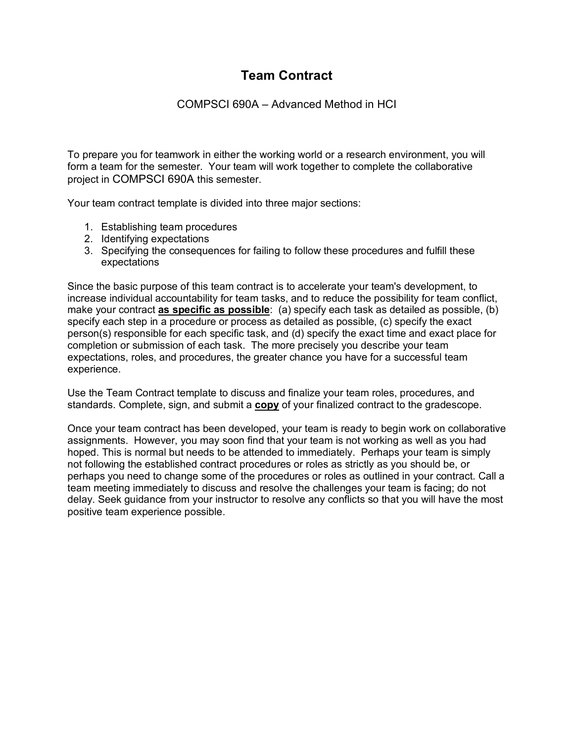# **Team Contract**

## COMPSCI 690A – Advanced Method in HCI

To prepare you for teamwork in either the working world or a research environment, you will form a team for the semester. Your team will work together to complete the collaborative project in COMPSCI 690A this semester.

Your team contract template is divided into three major sections:

- 1. Establishing team procedures
- 2. Identifying expectations
- 3. Specifying the consequences for failing to follow these procedures and fulfill these expectations

Since the basic purpose of this team contract is to accelerate your team's development, to increase individual accountability for team tasks, and to reduce the possibility for team conflict, make your contract **as specific as possible**: (a) specify each task as detailed as possible, (b) specify each step in a procedure or process as detailed as possible, (c) specify the exact person(s) responsible for each specific task, and (d) specify the exact time and exact place for completion or submission of each task. The more precisely you describe your team expectations, roles, and procedures, the greater chance you have for a successful team experience.

Use the Team Contract template to discuss and finalize your team roles, procedures, and standards. Complete, sign, and submit a **copy** of your finalized contract to the gradescope.

Once your team contract has been developed, your team is ready to begin work on collaborative assignments. However, you may soon find that your team is not working as well as you had hoped. This is normal but needs to be attended to immediately. Perhaps your team is simply not following the established contract procedures or roles as strictly as you should be, or perhaps you need to change some of the procedures or roles as outlined in your contract. Call a team meeting immediately to discuss and resolve the challenges your team is facing; do not delay. Seek guidance from your instructor to resolve any conflicts so that you will have the most positive team experience possible.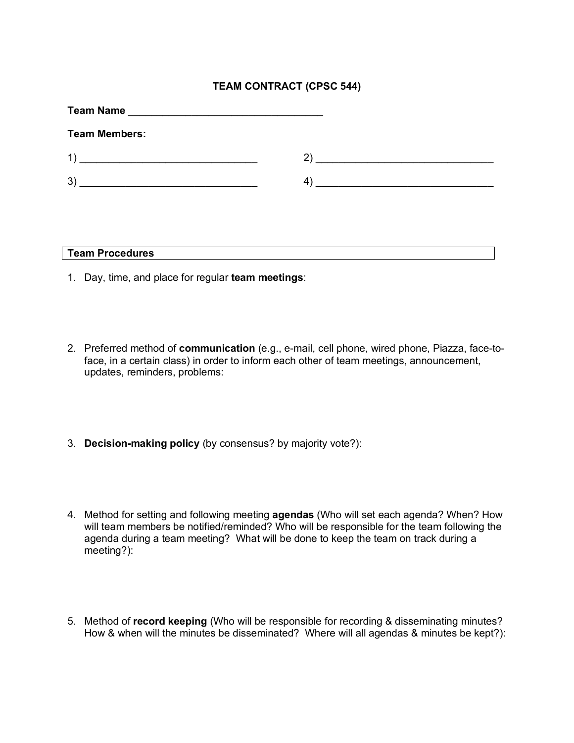## **TEAM CONTRACT (CPSC 544)**

| <b>Team Name</b><br><u> 1980 - Johann Stoff, fransk konge og det ble stoffen og det ble stoffen og det ble stoffen og det ble stoffen</u> |   |  |
|-------------------------------------------------------------------------------------------------------------------------------------------|---|--|
| <b>Team Members:</b>                                                                                                                      |   |  |
| $\left  \right $<br><u> 1989 - Johann Stoff, amerikansk politiker (d. 1989)</u>                                                           |   |  |
| 3)                                                                                                                                        | 4 |  |
|                                                                                                                                           |   |  |

- 1. Day, time, and place for regular **team meetings**:
- 2. Preferred method of **communication** (e.g., e-mail, cell phone, wired phone, Piazza, face-toface, in a certain class) in order to inform each other of team meetings, announcement, updates, reminders, problems:
- 3. **Decision-making policy** (by consensus? by majority vote?):
- 4. Method for setting and following meeting **agendas** (Who will set each agenda? When? How will team members be notified/reminded? Who will be responsible for the team following the agenda during a team meeting? What will be done to keep the team on track during a meeting?):
- 5. Method of **record keeping** (Who will be responsible for recording & disseminating minutes? How & when will the minutes be disseminated? Where will all agendas & minutes be kept?):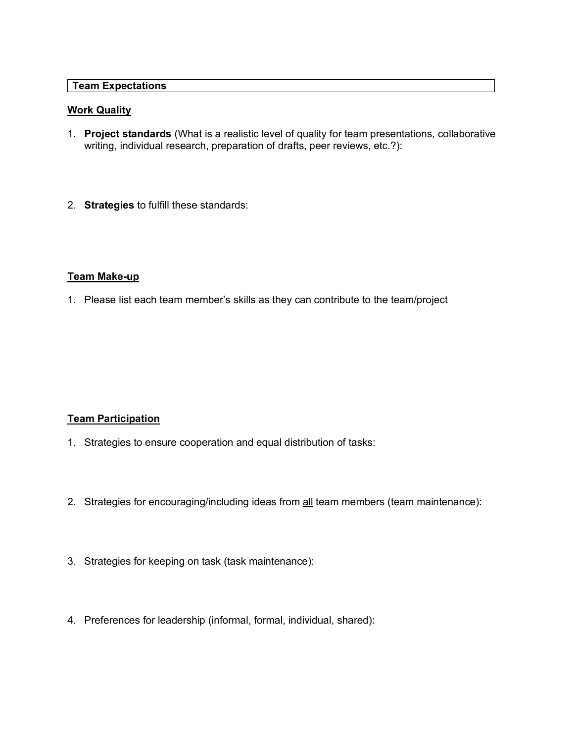#### **Team Expectations**

#### **Work Quality**

- 1. **Project standards** (What is a realistic level of quality for team presentations, collaborative writing, individual research, preparation of drafts, peer reviews, etc.?):
- 2. **Strategies** to fulfill these standards:

#### **Team Make-up**

1. Please list each team member's skills as they can contribute to the team/project

### **Team Participation**

- 1. Strategies to ensure cooperation and equal distribution of tasks:
- 2. Strategies for encouraging/including ideas from all team members (team maintenance):
- 3. Strategies for keeping on task (task maintenance):
- 4. Preferences for leadership (informal, formal, individual, shared):